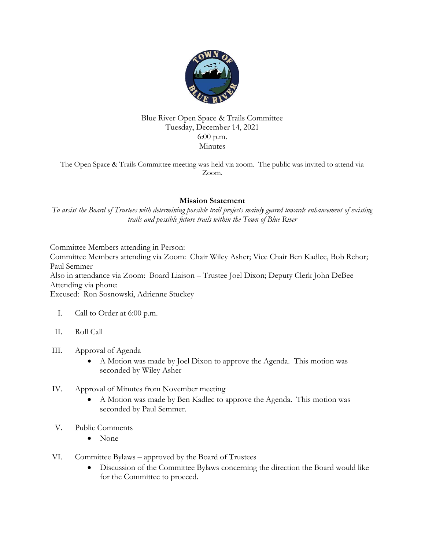

## Blue River Open Space & Trails Committee Tuesday, December 14, 2021 6:00 p.m. Minutes

The Open Space & Trails Committee meeting was held via zoom. The public was invited to attend via Zoom.

## Mission Statement

To assist the Board of Trustees with determining possible trail projects mainly geared towards enhancement of existing trails and possible future trails within the Town of Blue River

Committee Members attending in Person:

Committee Members attending via Zoom: Chair Wiley Asher; Vice Chair Ben Kadlec, Bob Rehor; Paul Semmer Also in attendance via Zoom: Board Liaison – Trustee Joel Dixon; Deputy Clerk John DeBee Attending via phone:

Excused: Ron Sosnowski, Adrienne Stuckey

- I. Call to Order at 6:00 p.m.
- II. Roll Call
- III. Approval of Agenda
	- A Motion was made by Joel Dixon to approve the Agenda. This motion was seconded by Wiley Asher
- IV. Approval of Minutes from November meeting
	- A Motion was made by Ben Kadlec to approve the Agenda. This motion was seconded by Paul Semmer.
- V. Public Comments
	- None
- VI. Committee Bylaws approved by the Board of Trustees
	- Discussion of the Committee Bylaws concerning the direction the Board would like for the Committee to proceed.